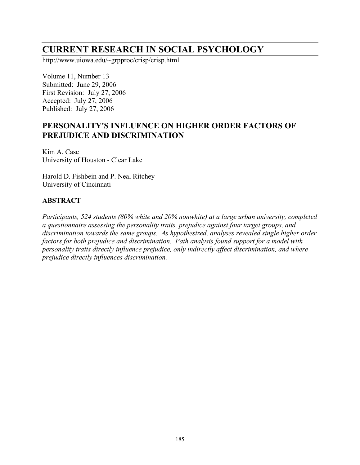# **CURRENT RESEARCH IN SOCIAL PSYCHOLOGY**

http://www.uiowa.edu/~grpproc/crisp/crisp.html

Volume 11, Number 13 Submitted: June 29, 2006 First Revision: July 27, 2006 Accepted: July 27, 2006 Published: July 27, 2006

## **PERSONALITY'S INFLUENCE ON HIGHER ORDER FACTORS OF PREJUDICE AND DISCRIMINATION**

Kim A. Case University of Houston - Clear Lake

Harold D. Fishbein and P. Neal Ritchey University of Cincinnati

#### **ABSTRACT**

*Participants, 524 students (80% white and 20% nonwhite) at a large urban university, completed a questionnaire assessing the personality traits, prejudice against four target groups, and discrimination towards the same groups. As hypothesized, analyses revealed single higher order factors for both prejudice and discrimination. Path analysis found support for a model with personality traits directly influence prejudice, only indirectly affect discrimination, and where prejudice directly influences discrimination.*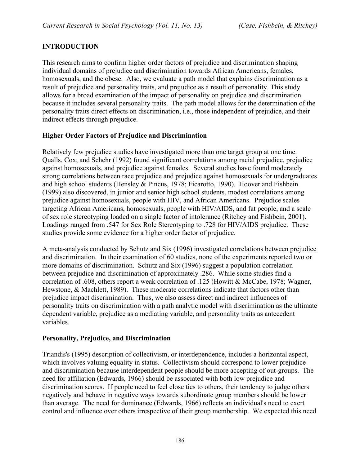## **INTRODUCTION**

This research aims to confirm higher order factors of prejudice and discrimination shaping individual domains of prejudice and discrimination towards African Americans, females, homosexuals, and the obese. Also, we evaluate a path model that explains discrimination as a result of prejudice and personality traits, and prejudice as a result of personality. This study allows for a broad examination of the impact of personality on prejudice and discrimination because it includes several personality traits. The path model allows for the determination of the personality traits direct effects on discrimination, i.e., those independent of prejudice, and their indirect effects through prejudice.

## **Higher Order Factors of Prejudice and Discrimination**

Relatively few prejudice studies have investigated more than one target group at one time. Qualls, Cox, and Schehr (1992) found significant correlations among racial prejudice, prejudice against homosexuals, and prejudice against females. Several studies have found moderately strong correlations between race prejudice and prejudice against homosexuals for undergraduates and high school students (Hensley & Pincus, 1978; Ficarotto, 1990). Hoover and Fishbein (1999) also discovered, in junior and senior high school students, modest correlations among prejudice against homosexuals, people with HIV, and African Americans. Prejudice scales targeting African Americans, homosexuals, people with HIV/AIDS, and fat people, and a scale of sex role stereotyping loaded on a single factor of intolerance (Ritchey and Fishbein, 2001). Loadings ranged from .547 for Sex Role Stereotyping to .728 for HIV/AIDS prejudice. These studies provide some evidence for a higher order factor of prejudice.

A meta-analysis conducted by Schutz and Six (1996) investigated correlations between prejudice and discrimination. In their examination of 60 studies, none of the experiments reported two or more domains of discrimination. Schutz and Six (1996) suggest a population correlation between prejudice and discrimination of approximately .286. While some studies find a correlation of .608, others report a weak correlation of .125 (Howitt & McCabe, 1978; Wagner, Hewstone, & Machlett, 1989). These moderate correlations indicate that factors other than prejudice impact discrimination. Thus, we also assess direct and indirect influences of personality traits on discrimination with a path analytic model with discrimination as the ultimate dependent variable, prejudice as a mediating variable, and personality traits as antecedent variables.

#### **Personality, Prejudice, and Discrimination**

Triandis's (1995) description of collectivism, or interdependence, includes a horizontal aspect, which involves valuing equality in status. Collectivism should correspond to lower prejudice and discrimination because interdependent people should be more accepting of out-groups. The need for affiliation (Edwards, 1966) should be associated with both low prejudice and discrimination scores. If people need to feel close ties to others, their tendency to judge others negatively and behave in negative ways towards subordinate group members should be lower than average. The need for dominance (Edwards, 1966) reflects an individual's need to exert control and influence over others irrespective of their group membership. We expected this need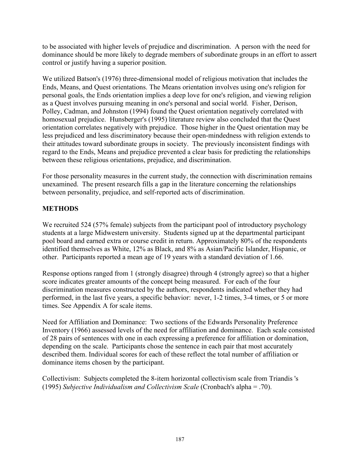to be associated with higher levels of prejudice and discrimination. A person with the need for dominance should be more likely to degrade members of subordinate groups in an effort to assert control or justify having a superior position.

We utilized Batson's (1976) three-dimensional model of religious motivation that includes the Ends, Means, and Quest orientations. The Means orientation involves using one's religion for personal goals, the Ends orientation implies a deep love for one's religion, and viewing religion as a Quest involves pursuing meaning in one's personal and social world. Fisher, Derison, Polley, Cadman, and Johnston (1994) found the Quest orientation negatively correlated with homosexual prejudice. Hunsberger's (1995) literature review also concluded that the Quest orientation correlates negatively with prejudice. Those higher in the Quest orientation may be less prejudiced and less discriminatory because their open-mindedness with religion extends to their attitudes toward subordinate groups in society. The previously inconsistent findings with regard to the Ends, Means and prejudice prevented a clear basis for predicting the relationships between these religious orientations, prejudice, and discrimination.

For those personality measures in the current study, the connection with discrimination remains unexamined. The present research fills a gap in the literature concerning the relationships between personality, prejudice, and self-reported acts of discrimination.

## **METHODS**

We recruited 524 (57% female) subjects from the participant pool of introductory psychology students at a large Midwestern university. Students signed up at the departmental participant pool board and earned extra or course credit in return. Approximately 80% of the respondents identified themselves as White, 12% as Black, and 8% as Asian/Pacific Islander, Hispanic, or other. Participants reported a mean age of 19 years with a standard deviation of 1.66.

Response options ranged from 1 (strongly disagree) through 4 (strongly agree) so that a higher score indicates greater amounts of the concept being measured. For each of the four discrimination measures constructed by the authors, respondents indicated whether they had performed, in the last five years, a specific behavior: never, 1-2 times, 3-4 times, or 5 or more times. See Appendix A for scale items.

Need for Affiliation and Dominance: Two sections of the Edwards Personality Preference Inventory (1966) assessed levels of the need for affiliation and dominance. Each scale consisted of 28 pairs of sentences with one in each expressing a preference for affiliation or domination, depending on the scale. Participants chose the sentence in each pair that most accurately described them. Individual scores for each of these reflect the total number of affiliation or dominance items chosen by the participant.

Collectivism: Subjects completed the 8-item horizontal collectivism scale from Triandis 's (1995) *Subjective Individualism and Collectivism Scale* (Cronbach's alpha = .70).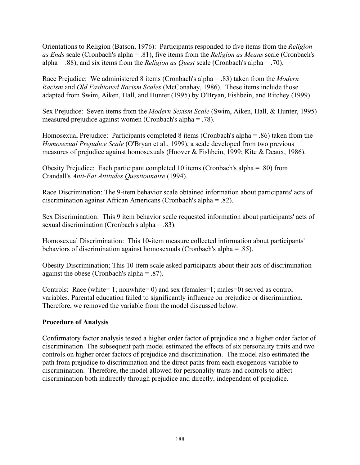Orientations to Religion (Batson, 1976): Participants responded to five items from the *Religion as Ends* scale (Cronbach's alpha = .81), five items from the *Religion as Means* scale (Cronbach's alpha = .88), and six items from the *Religion as Quest* scale (Cronbach's alpha = .70).

Race Prejudice: We administered 8 items (Cronbach's alpha = .83) taken from the *Modern Racism* and *Old Fashioned Racism Scales* (McConahay, 1986). These items include those adapted from Swim, Aiken, Hall, and Hunter (1995) by O'Bryan, Fishbein, and Ritchey (1999).

Sex Prejudice: Seven items from the *Modern Sexism Scale* (Swim, Aiken, Hall, & Hunter, 1995) measured prejudice against women (Cronbach's alpha = .78).

Homosexual Prejudice: Participants completed 8 items (Cronbach's alpha = .86) taken from the *Homosexual Prejudice Scale* (O'Bryan et al., 1999), a scale developed from two previous measures of prejudice against homosexuals (Hoover & Fishbein, 1999; Kite & Deaux, 1986).

Obesity Prejudice: Each participant completed 10 items (Cronbach's alpha = .80) from Crandall's *Anti-Fat Attitudes Questionnaire* (1994).

Race Discrimination: The 9-item behavior scale obtained information about participants' acts of discrimination against African Americans (Cronbach's alpha = .82).

Sex Discrimination: This 9 item behavior scale requested information about participants' acts of sexual discrimination (Cronbach's alpha = .83).

Homosexual Discrimination: This 10-item measure collected information about participants' behaviors of discrimination against homosexuals (Cronbach's alpha = .85).

Obesity Discrimination; This 10-item scale asked participants about their acts of discrimination against the obese (Cronbach's alpha = .87).

Controls: Race (white= 1; nonwhite= 0) and sex (females=1; males=0) served as control variables. Parental education failed to significantly influence on prejudice or discrimination. Therefore, we removed the variable from the model discussed below.

#### **Procedure of Analysis**

Confirmatory factor analysis tested a higher order factor of prejudice and a higher order factor of discrimination. The subsequent path model estimated the effects of six personality traits and two controls on higher order factors of prejudice and discrimination. The model also estimated the path from prejudice to discrimination and the direct paths from each exogenous variable to discrimination. Therefore, the model allowed for personality traits and controls to affect discrimination both indirectly through prejudice and directly, independent of prejudice.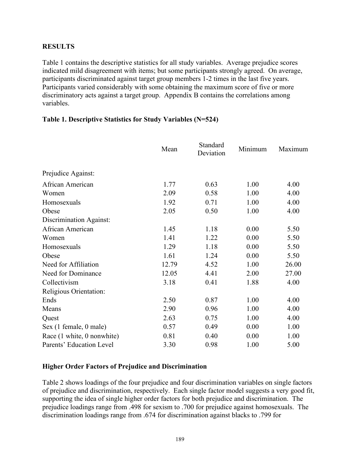#### **RESULTS**

Table 1 contains the descriptive statistics for all study variables. Average prejudice scores indicated mild disagreement with items; but some participants strongly agreed. On average, participants discriminated against target group members 1-2 times in the last five years. Participants varied considerably with some obtaining the maximum score of five or more discriminatory acts against a target group. Appendix B contains the correlations among variables.

#### **Table 1. Descriptive Statistics for Study Variables (N=524)**

|                            | Mean  | Standard<br>Deviation | Minimum | Maximum |
|----------------------------|-------|-----------------------|---------|---------|
| Prejudice Against:         |       |                       |         |         |
| African American           | 1.77  | 0.63                  | 1.00    | 4.00    |
| Women                      | 2.09  | 0.58                  | 1.00    | 4.00    |
| Homosexuals                | 1.92  | 0.71                  | 1.00    | 4.00    |
| Obese                      | 2.05  | 0.50                  | 1.00    | 4.00    |
| Discrimination Against:    |       |                       |         |         |
| African American           | 1.45  | 1.18                  | 0.00    | 5.50    |
| Women                      | 1.41  | 1.22                  | 0.00    | 5.50    |
| Homosexuals                | 1.29  | 1.18                  | 0.00    | 5.50    |
| Obese                      | 1.61  | 1.24                  | 0.00    | 5.50    |
| Need for Affiliation       | 12.79 | 4.52                  | 1.00    | 26.00   |
| Need for Dominance         | 12.05 | 4.41                  | 2.00    | 27.00   |
| Collectivism               | 3.18  | 0.41                  | 1.88    | 4.00    |
| Religious Orientation:     |       |                       |         |         |
| Ends                       | 2.50  | 0.87                  | 1.00    | 4.00    |
| Means                      | 2.90  | 0.96                  | 1.00    | 4.00    |
| Quest                      | 2.63  | 0.75                  | 1.00    | 4.00    |
| Sex (1 female, 0 male)     | 0.57  | 0.49                  | 0.00    | 1.00    |
| Race (1 white, 0 nonwhite) | 0.81  | 0.40                  | 0.00    | 1.00    |
| Parents' Education Level   | 3.30  | 0.98                  | 1.00    | 5.00    |

#### **Higher Order Factors of Prejudice and Discrimination**

Table 2 shows loadings of the four prejudice and four discrimination variables on single factors of prejudice and discrimination, respectively. Each single factor model suggests a very good fit, supporting the idea of single higher order factors for both prejudice and discrimination. The prejudice loadings range from .498 for sexism to .700 for prejudice against homosexuals. The discrimination loadings range from .674 for discrimination against blacks to .799 for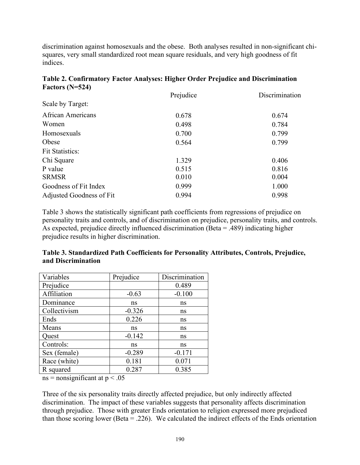discrimination against homosexuals and the obese. Both analyses resulted in non-significant chisquares, very small standardized root mean square residuals, and very high goodness of fit indices.

|                          | Prejudice | Discrimination |
|--------------------------|-----------|----------------|
| Scale by Target:         |           |                |
| <b>African Americans</b> | 0.678     | 0.674          |
| Women                    | 0.498     | 0.784          |
| Homosexuals              | 0.700     | 0.799          |
| Obese                    | 0.564     | 0.799          |
| <b>Fit Statistics:</b>   |           |                |
| Chi Square               | 1.329     | 0.406          |
| P value                  | 0.515     | 0.816          |
| <b>SRMSR</b>             | 0.010     | 0.004          |
| Goodness of Fit Index    | 0.999     | 1.000          |
| Adjusted Goodness of Fit | 0.994     | 0.998          |

|                   | Table 2. Confirmatory Factor Analyses: Higher Order Prejudice and Discrimination |  |  |  |  |
|-------------------|----------------------------------------------------------------------------------|--|--|--|--|
| Factors $(N=524)$ |                                                                                  |  |  |  |  |

Table 3 shows the statistically significant path coefficients from regressions of prejudice on personality traits and controls, and of discrimination on prejudice, personality traits, and controls. As expected, prejudice directly influenced discrimination (Beta = .489) indicating higher prejudice results in higher discrimination.

| Table 3. Standardized Path Coefficients for Personality Attributes, Controls, Prejudice, |  |
|------------------------------------------------------------------------------------------|--|
| and Discrimination                                                                       |  |

| Variables    | Prejudice | Discrimination |
|--------------|-----------|----------------|
| Prejudice    |           | 0.489          |
| Affiliation  | $-0.63$   | $-0.100$       |
| Dominance    | ns        | ns             |
| Collectivism | $-0.326$  | ns             |
| Ends         | 0.226     | ns             |
| Means        | ns        | ns             |
| Quest        | $-0.142$  | ns             |
| Controls:    | ns        | ns             |
| Sex (female) | $-0.289$  | $-0.171$       |
| Race (white) | 0.181     | 0.071          |
| R squared    | 0.287     | 0.385          |

 $ns = nonsignificant$  at  $p < .05$ 

Three of the six personality traits directly affected prejudice, but only indirectly affected discrimination. The impact of these variables suggests that personality affects discrimination through prejudice. Those with greater Ends orientation to religion expressed more prejudiced than those scoring lower (Beta = .226). We calculated the indirect effects of the Ends orientation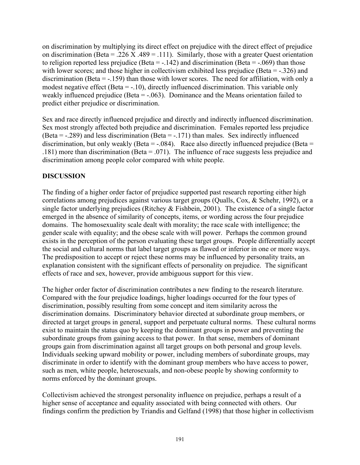on discrimination by multiplying its direct effect on prejudice with the direct effect of prejudice on discrimination (Beta = .226 X .489 = .111). Similarly, those with a greater Quest orientation to religion reported less prejudice (Beta =  $-.142$ ) and discrimination (Beta =  $-.069$ ) than those with lower scores; and those higher in collectivism exhibited less prejudice (Beta = -.326) and discrimination (Beta  $= -159$ ) than those with lower scores. The need for affiliation, with only a modest negative effect (Beta = -.10), directly influenced discrimination. This variable only weakly influenced prejudice (Beta = -.063). Dominance and the Means orientation failed to predict either prejudice or discrimination.

Sex and race directly influenced prejudice and directly and indirectly influenced discrimination. Sex most strongly affected both prejudice and discrimination. Females reported less prejudice (Beta = -.289) and less discrimination (Beta = -.171) than males. Sex indirectly influenced discrimination, but only weakly (Beta =  $-.084$ ). Race also directly influenced prejudice (Beta = .181) more than discrimination (Beta = .071). The influence of race suggests less prejudice and discrimination among people color compared with white people.

## **DISCUSSION**

The finding of a higher order factor of prejudice supported past research reporting either high correlations among prejudices against various target groups (Qualls, Cox, & Schehr, 1992), or a single factor underlying prejudices (Ritchey  $\&$  Fishbein, 2001). The existence of a single factor emerged in the absence of similarity of concepts, items, or wording across the four prejudice domains. The homosexuality scale dealt with morality; the race scale with intelligence; the gender scale with equality; and the obese scale with will power. Perhaps the common ground exists in the perception of the person evaluating these target groups. People differentially accept the social and cultural norms that label target groups as flawed or inferior in one or more ways. The predisposition to accept or reject these norms may be influenced by personality traits, an explanation consistent with the significant effects of personality on prejudice. The significant effects of race and sex, however, provide ambiguous support for this view.

The higher order factor of discrimination contributes a new finding to the research literature. Compared with the four prejudice loadings, higher loadings occurred for the four types of discrimination, possibly resulting from some concept and item similarity across the discrimination domains. Discriminatory behavior directed at subordinate group members, or directed at target groups in general, support and perpetuate cultural norms. These cultural norms exist to maintain the status quo by keeping the dominant groups in power and preventing the subordinate groups from gaining access to that power. In that sense, members of dominant groups gain from discrimination against all target groups on both personal and group levels. Individuals seeking upward mobility or power, including members of subordinate groups, may discriminate in order to identify with the dominant group members who have access to power, such as men, white people, heterosexuals, and non-obese people by showing conformity to norms enforced by the dominant groups.

Collectivism achieved the strongest personality influence on prejudice, perhaps a result of a higher sense of acceptance and equality associated with being connected with others. Our findings confirm the prediction by Triandis and Gelfand (1998) that those higher in collectivism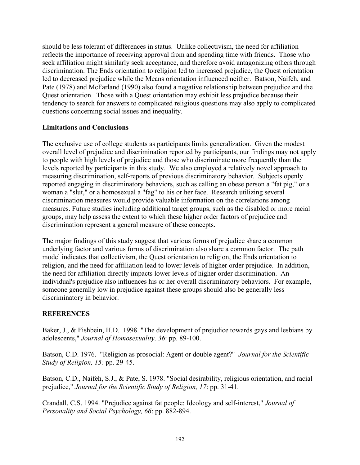should be less tolerant of differences in status. Unlike collectivism, the need for affiliation reflects the importance of receiving approval from and spending time with friends. Those who seek affiliation might similarly seek acceptance, and therefore avoid antagonizing others through discrimination. The Ends orientation to religion led to increased prejudice, the Quest orientation led to decreased prejudice while the Means orientation influenced neither. Batson, Naifeh, and Pate (1978) and McFarland (1990) also found a negative relationship between prejudice and the Quest orientation. Those with a Quest orientation may exhibit less prejudice because their tendency to search for answers to complicated religious questions may also apply to complicated questions concerning social issues and inequality.

#### **Limitations and Conclusions**

The exclusive use of college students as participants limits generalization. Given the modest overall level of prejudice and discrimination reported by participants, our findings may not apply to people with high levels of prejudice and those who discriminate more frequently than the levels reported by participants in this study. We also employed a relatively novel approach to measuring discrimination, self-reports of previous discriminatory behavior. Subjects openly reported engaging in discriminatory behaviors, such as calling an obese person a "fat pig," or a woman a "slut," or a homosexual a "fag" to his or her face. Research utilizing several discrimination measures would provide valuable information on the correlations among measures. Future studies including additional target groups, such as the disabled or more racial groups, may help assess the extent to which these higher order factors of prejudice and discrimination represent a general measure of these concepts.

The major findings of this study suggest that various forms of prejudice share a common underlying factor and various forms of discrimination also share a common factor. The path model indicates that collectivism, the Quest orientation to religion, the Ends orientation to religion, and the need for affiliation lead to lower levels of higher order prejudice. In addition, the need for affiliation directly impacts lower levels of higher order discrimination. An individual's prejudice also influences his or her overall discriminatory behaviors. For example, someone generally low in prejudice against these groups should also be generally less discriminatory in behavior.

#### **REFERENCES**

Baker, J., & Fishbein, H.D. 1998. "The development of prejudice towards gays and lesbians by adolescents," *Journal of Homosexuality, 36*: pp. 89-100.

Batson, C.D. 1976. "Religion as prosocial: Agent or double agent?" *Journal for the Scientific Study of Religion, 15:* pp. 29-45.

Batson, C.D., Naifeh, S.J., & Pate, S. 1978. "Social desirability, religious orientation, and racial prejudice," *Journal for the Scientific Study of Religion, 17*: pp. 31-41.

Crandall, C.S. 1994. "Prejudice against fat people: Ideology and self-interest," *Journal of Personality and Social Psychology, 66*: pp. 882-894.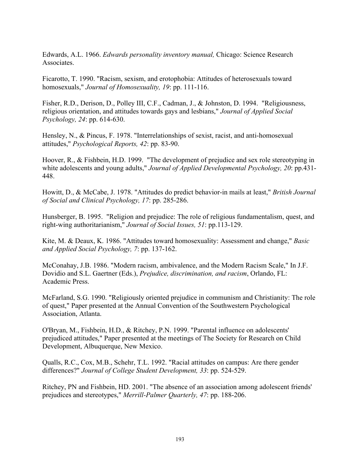Edwards, A.L. 1966. *Edwards personality inventory manual,* Chicago: Science Research Associates.

Ficarotto, T. 1990. "Racism, sexism, and erotophobia: Attitudes of heterosexuals toward homosexuals," *Journal of Homosexuality, 19*: pp. 111-116.

Fisher, R.D., Derison, D., Polley III, C.F., Cadman, J., & Johnston, D. 1994. "Religiousness, religious orientation, and attitudes towards gays and lesbians," *Journal of Applied Social Psychology, 24*: pp. 614-630.

Hensley, N., & Pincus, F. 1978. "Interrelationships of sexist, racist, and anti-homosexual attitudes," *Psychological Reports, 42*: pp. 83-90.

Hoover, R., & Fishbein, H.D. 1999. "The development of prejudice and sex role stereotyping in white adolescents and young adults," *Journal of Applied Developmental Psychology, 20*: pp.431- 448.

Howitt, D., & McCabe, J. 1978. "Attitudes do predict behavior-in mails at least," *British Journal of Social and Clinical Psychology, 17*: pp. 285-286.

Hunsberger, B. 1995. "Religion and prejudice: The role of religious fundamentalism, quest, and right-wing authoritarianism," *Journal of Social Issues, 51*: pp.113-129.

Kite, M. & Deaux, K. 1986. "Attitudes toward homosexuality: Assessment and change," *Basic and Applied Social Psychology, 7*: pp. 137-162.

McConahay, J.B. 1986. "Modern racism, ambivalence, and the Modern Racism Scale," In J.F. Dovidio and S.L. Gaertner (Eds.), *Prejudice, discrimination, and racism*, Orlando, FL: Academic Press.

McFarland, S.G. 1990. "Religiously oriented prejudice in communism and Christianity: The role of quest," Paper presented at the Annual Convention of the Southwestern Psychological Association, Atlanta.

O'Bryan, M., Fishbein, H.D., & Ritchey, P.N. 1999. "Parental influence on adolescents' prejudiced attitudes," Paper presented at the meetings of The Society for Research on Child Development, Albuquerque, New Mexico.

Qualls, R.C., Cox, M.B., Schehr, T.L. 1992. "Racial attitudes on campus: Are there gender differences?" *Journal of College Student Development, 33*: pp. 524-529.

Ritchey, PN and Fishbein, HD. 2001. "The absence of an association among adolescent friends' prejudices and stereotypes," *Merrill-Palmer Quarterly, 47*: pp. 188-206.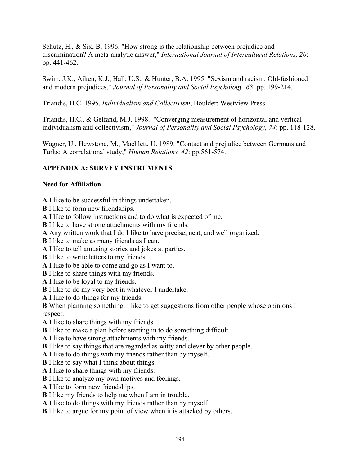Schutz, H., & Six, B. 1996. "How strong is the relationship between prejudice and discrimination? A meta-analytic answer," *International Journal of Intercultural Relations, 20*: pp. 441-462.

Swim, J.K., Aiken, K.J., Hall, U.S., & Hunter, B.A. 1995. "Sexism and racism: Old-fashioned and modern prejudices," *Journal of Personality and Social Psychology, 68*: pp. 199-214.

Triandis, H.C. 1995. *Individualism and Collectivism*, Boulder: Westview Press.

Triandis, H.C., & Gelfand, M.J. 1998. "Converging measurement of horizontal and vertical individualism and collectivism," *Journal of Personality and Social Psychology, 74*: pp. 118-128.

Wagner, U., Hewstone, M., Machlett, U. 1989. "Contact and prejudice between Germans and Turks: A correlational study," *Human Relations, 42*: pp.561-574.

## **APPENDIX A: SURVEY INSTRUMENTS**

#### **Need for Affiliation**

**A** I like to be successful in things undertaken.

**B** I like to form new friendships.

**A** I like to follow instructions and to do what is expected of me.

**B** I like to have strong attachments with my friends.

**A** Any written work that I do I like to have precise, neat, and well organized.

**B** I like to make as many friends as I can.

**A** I like to tell amusing stories and jokes at parties.

**B** I like to write letters to my friends.

**A** I like to be able to come and go as I want to.

**B** I like to share things with my friends.

**A** I like to be loyal to my friends.

**B** I like to do my very best in whatever I undertake.

**A** I like to do things for my friends.

**B** When planning something, I like to get suggestions from other people whose opinions I respect.

**A** I like to share things with my friends.

**B** I like to make a plan before starting in to do something difficult.

**A** I like to have strong attachments with my friends.

**B** I like to say things that are regarded as witty and clever by other people.

**A** I like to do things with my friends rather than by myself.

**B** I like to say what I think about things.

**A** I like to share things with my friends.

**B** I like to analyze my own motives and feelings.

**A** I like to form new friendships.

**B** I like my friends to help me when I am in trouble.

**A** I like to do things with my friends rather than by myself.

**B** I like to argue for my point of view when it is attacked by others.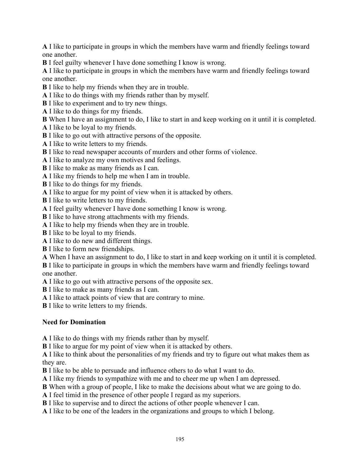**A** I like to participate in groups in which the members have warm and friendly feelings toward one another.

**B** I feel guilty whenever I have done something I know is wrong.

**A** I like to participate in groups in which the members have warm and friendly feelings toward one another.

**B** I like to help my friends when they are in trouble.

- **A** I like to do things with my friends rather than by myself.
- **B** I like to experiment and to try new things.
- **A** I like to do things for my friends.

**B** When I have an assignment to do, I like to start in and keep working on it until it is completed.

- **A** I like to be loyal to my friends.
- **B** I like to go out with attractive persons of the opposite.
- **A** I like to write letters to my friends.
- **B** I like to read newspaper accounts of murders and other forms of violence.

**A** I like to analyze my own motives and feelings.

**B** I like to make as many friends as I can.

**A** I like my friends to help me when I am in trouble.

**B** I like to do things for my friends.

**A** I like to argue for my point of view when it is attacked by others.

**B** I like to write letters to my friends.

**A** I feel guilty whenever I have done something I know is wrong.

**B** I like to have strong attachments with my friends.

**A** I like to help my friends when they are in trouble.

**B** I like to be loyal to my friends.

**A** I like to do new and different things.

**B** I like to form new friendships.

**A** When I have an assignment to do, I like to start in and keep working on it until it is completed.

**B** I like to participate in groups in which the members have warm and friendly feelings toward one another.

**A** I like to go out with attractive persons of the opposite sex.

**B** I like to make as many friends as I can.

**A** I like to attack points of view that are contrary to mine.

**B** I like to write letters to my friends.

## **Need for Domination**

**A** I like to do things with my friends rather than by myself.

**B** I like to argue for my point of view when it is attacked by others.

**A** I like to think about the personalities of my friends and try to figure out what makes them as they are.

**B** I like to be able to persuade and influence others to do what I want to do.

**A** I like my friends to sympathize with me and to cheer me up when I am depressed.

**B** When with a group of people, I like to make the decisions about what we are going to do.

**A** I feel timid in the presence of other people I regard as my superiors.

**B** I like to supervise and to direct the actions of other people whenever I can.

**A** I like to be one of the leaders in the organizations and groups to which I belong.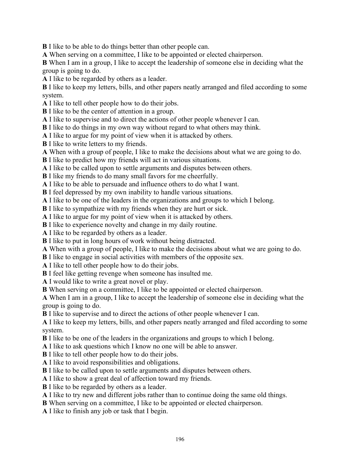**B** I like to be able to do things better than other people can.

**A** When serving on a committee, I like to be appointed or elected chairperson.

**B** When I am in a group, I like to accept the leadership of someone else in deciding what the group is going to do.

**A** I like to be regarded by others as a leader.

**B** I like to keep my letters, bills, and other papers neatly arranged and filed according to some system.

- **A** I like to tell other people how to do their jobs.
- **B** I like to be the center of attention in a group.

**A** I like to supervise and to direct the actions of other people whenever I can.

**B** I like to do things in my own way without regard to what others may think.

- **A** I like to argue for my point of view when it is attacked by others.
- **B** I like to write letters to my friends.
- **A** When with a group of people, I like to make the decisions about what we are going to do.
- **B** I like to predict how my friends will act in various situations.
- **A** I like to be called upon to settle arguments and disputes between others.

**B** I like my friends to do many small favors for me cheerfully.

**A** I like to be able to persuade and influence others to do what I want.

**B** I feel depressed by my own inability to handle various situations.

**A** I like to be one of the leaders in the organizations and groups to which I belong.

**B** I like to sympathize with my friends when they are hurt or sick.

**A** I like to argue for my point of view when it is attacked by others.

**B** I like to experience novelty and change in my daily routine.

**A** I like to be regarded by others as a leader.

- **B** I like to put in long hours of work without being distracted.
- **A** When with a group of people, I like to make the decisions about what we are going to do.
- **B** I like to engage in social activities with members of the opposite sex.
- **A** I like to tell other people how to do their jobs.
- **B** I feel like getting revenge when someone has insulted me.

**A** I would like to write a great novel or play.

**B** When serving on a committee, I like to be appointed or elected chairperson.

**A** When I am in a group, I like to accept the leadership of someone else in deciding what the group is going to do.

**B** I like to supervise and to direct the actions of other people whenever I can.

**A** I like to keep my letters, bills, and other papers neatly arranged and filed according to some system.

**B** I like to be one of the leaders in the organizations and groups to which I belong.

**A** I like to ask questions which I know no one will be able to answer.

**B** I like to tell other people how to do their jobs.

**A** I like to avoid responsibilities and obligations.

**B** I like to be called upon to settle arguments and disputes between others.

**A** I like to show a great deal of affection toward my friends.

**B** I like to be regarded by others as a leader.

**A** I like to try new and different jobs rather than to continue doing the same old things.

**B** When serving on a committee, I like to be appointed or elected chairperson.

**A** I like to finish any job or task that I begin.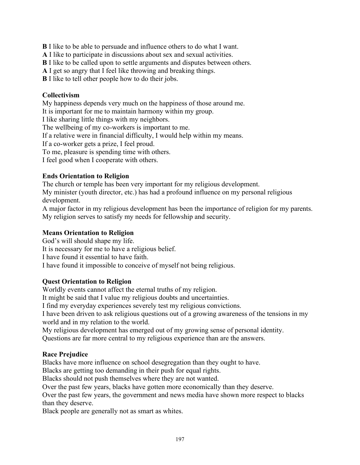**B** I like to be able to persuade and influence others to do what I want.

**A** I like to participate in discussions about sex and sexual activities.

**B** I like to be called upon to settle arguments and disputes between others.

**A** I get so angry that I feel like throwing and breaking things.

**B** I like to tell other people how to do their jobs.

#### **Collectivism**

My happiness depends very much on the happiness of those around me.

It is important for me to maintain harmony within my group.

I like sharing little things with my neighbors.

The wellbeing of my co-workers is important to me.

If a relative were in financial difficulty, I would help within my means.

If a co-worker gets a prize, I feel proud.

To me, pleasure is spending time with others.

I feel good when I cooperate with others.

#### **Ends Orientation to Religion**

The church or temple has been very important for my religious development. My minister (youth director, etc.) has had a profound influence on my personal religious development.

A major factor in my religious development has been the importance of religion for my parents. My religion serves to satisfy my needs for fellowship and security.

#### **Means Orientation to Religion**

God's will should shape my life. It is necessary for me to have a religious belief. I have found it essential to have faith. I have found it impossible to conceive of myself not being religious.

#### **Quest Orientation to Religion**

Worldly events cannot affect the eternal truths of my religion.

It might be said that I value my religious doubts and uncertainties.

I find my everyday experiences severely test my religious convictions.

I have been driven to ask religious questions out of a growing awareness of the tensions in my world and in my relation to the world.

My religious development has emerged out of my growing sense of personal identity. Questions are far more central to my religious experience than are the answers.

#### **Race Prejudice**

Blacks have more influence on school desegregation than they ought to have.

Blacks are getting too demanding in their push for equal rights.

Blacks should not push themselves where they are not wanted.

Over the past few years, blacks have gotten more economically than they deserve.

Over the past few years, the government and news media have shown more respect to blacks than they deserve.

Black people are generally not as smart as whites.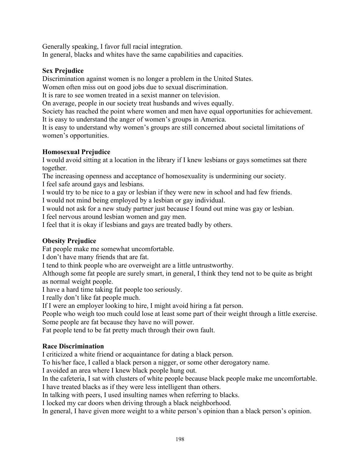Generally speaking, I favor full racial integration. In general, blacks and whites have the same capabilities and capacities.

#### **Sex Prejudice**

Discrimination against women is no longer a problem in the United States.

Women often miss out on good jobs due to sexual discrimination.

It is rare to see women treated in a sexist manner on television.

On average, people in our society treat husbands and wives equally.

Society has reached the point where women and men have equal opportunities for achievement.

It is easy to understand the anger of women's groups in America.

It is easy to understand why women's groups are still concerned about societal limitations of women's opportunities.

## **Homosexual Prejudice**

I would avoid sitting at a location in the library if I knew lesbians or gays sometimes sat there together.

The increasing openness and acceptance of homosexuality is undermining our society. I feel safe around gays and lesbians.

I would try to be nice to a gay or lesbian if they were new in school and had few friends.

I would not mind being employed by a lesbian or gay individual.

I would not ask for a new study partner just because I found out mine was gay or lesbian.

I feel nervous around lesbian women and gay men.

I feel that it is okay if lesbians and gays are treated badly by others.

## **Obesity Prejudice**

Fat people make me somewhat uncomfortable.

I don't have many friends that are fat.

I tend to think people who are overweight are a little untrustworthy.

Although some fat people are surely smart, in general, I think they tend not to be quite as bright as normal weight people.

I have a hard time taking fat people too seriously.

I really don't like fat people much.

If I were an employer looking to hire, I might avoid hiring a fat person.

People who weigh too much could lose at least some part of their weight through a little exercise. Some people are fat because they have no will power.

Fat people tend to be fat pretty much through their own fault.

#### **Race Discrimination**

I criticized a white friend or acquaintance for dating a black person.

To his/her face, I called a black person a nigger, or some other derogatory name.

I avoided an area where I knew black people hung out.

In the cafeteria, I sat with clusters of white people because black people make me uncomfortable. I have treated blacks as if they were less intelligent than others.

In talking with peers, I used insulting names when referring to blacks.

I locked my car doors when driving through a black neighborhood.

In general, I have given more weight to a white person's opinion than a black person's opinion.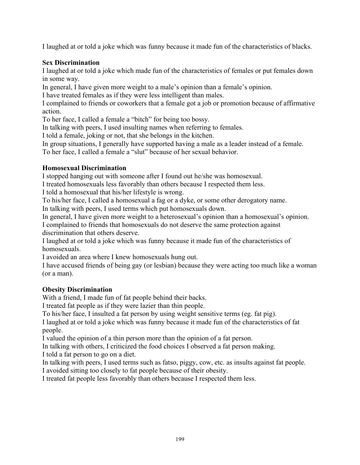I laughed at or told a joke which was funny because it made fun of the characteristics of blacks.

### **Sex Discrimination**

I laughed at or told a joke which made fun of the characteristics of females or put females down in some way.

In general, I have given more weight to a male's opinion than a female's opinion.

I have treated females as if they were less intelligent than males.

I complained to friends or coworkers that a female got a job or promotion because of affirmative action.

To her face, I called a female a "bitch" for being too bossy.

In talking with peers, I used insulting names when referring to females.

I told a female, joking or not, that she belongs in the kitchen.

In group situations, I generally have supported having a male as a leader instead of a female. To her face, I called a female a "slut" because of her sexual behavior.

#### **Homosexual Discrimination**

I stopped hanging out with someone after I found out he/she was homosexual.

I treated homosexuals less favorably than others because I respected them less.

I told a homosexual that his/her lifestyle is wrong.

To his/her face, I called a homosexual a fag or a dyke, or some other derogatory name.

In talking with peers, I used terms which put homosexuals down.

In general, I have given more weight to a heterosexual's opinion than a homosexual's opinion.

I complained to friends that homosexuals do not deserve the same protection against discrimination that others deserve.

I laughed at or told a joke which was funny because it made fun of the characteristics of homosexuals.

I avoided an area where I knew homosexuals hung out.

I have accused friends of being gay (or lesbian) because they were acting too much like a woman (or a man).

#### **Obesity Discrimination**

With a friend, I made fun of fat people behind their backs.

I treated fat people as if they were lazier than thin people.

To his/her face, I insulted a fat person by using weight sensitive terms (eg. fat pig).

I laughed at or told a joke which was funny because it made fun of the characteristics of fat people.

I valued the opinion of a thin person more than the opinion of a fat person.

In talking with others, I criticized the food choices I observed a fat person making. I told a fat person to go on a diet.

In talking with peers, I used terms such as fatso, piggy, cow, etc. as insults against fat people. I avoided sitting too closely to fat people because of their obesity.

I treated fat people less favorably than others because I respected them less.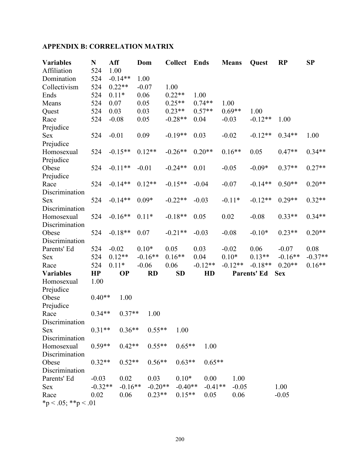## **APPENDIX B: CORRELATION MATRIX**

| <b>Variables</b>    | N         | Aff       |           | Dom       | <b>Collect</b> | <b>Ends</b> |           | <b>Means</b> |           | Quest              | <b>RP</b>  | SP        |
|---------------------|-----------|-----------|-----------|-----------|----------------|-------------|-----------|--------------|-----------|--------------------|------------|-----------|
| Affiliation         | 524       | 1.00      |           |           |                |             |           |              |           |                    |            |           |
| Domination          | 524       | $-0.14**$ | 1.00      |           |                |             |           |              |           |                    |            |           |
| Collectivism        | 524       | $0.22**$  |           | $-0.07$   | 1.00           |             |           |              |           |                    |            |           |
| Ends                | 524       | $0.11*$   | 0.06      |           | $0.22**$       | 1.00        |           |              |           |                    |            |           |
| Means               | 524       | 0.07      | 0.05      |           | $0.25**$       |             | $0.74**$  | 1.00         |           |                    |            |           |
| Quest               | 524       | 0.03      | 0.03      |           | $0.23**$       |             | $0.57**$  | $0.69**$     |           | 1.00               |            |           |
| Race                | 524       | $-0.08$   | 0.05      |           | $-0.28**$      | 0.04        |           | $-0.03$      |           | $-0.12**$          | 1.00       |           |
| Prejudice           |           |           |           |           |                |             |           |              |           |                    |            |           |
| <b>Sex</b>          | 524       | $-0.01$   | 0.09      |           | $-0.19**$      | 0.03        |           | $-0.02$      |           | $-0.12**$          | $0.34**$   | 1.00      |
| Prejudice           |           |           |           |           |                |             |           |              |           |                    |            |           |
| Homosexual          | 524       | $-0.15**$ |           | $0.12**$  | $-0.26**$      |             | $0.20**$  | $0.16**$     |           | 0.05               | $0.47**$   | $0.34**$  |
| Prejudice           |           |           |           |           |                |             |           |              |           |                    |            |           |
| Obese               | 524       | $-0.11**$ |           | $-0.01$   | $-0.24**$      | 0.01        |           | $-0.05$      |           | $-0.09*$           | $0.37**$   | $0.27**$  |
| Prejudice           |           |           |           |           |                |             |           |              |           |                    |            |           |
| Race                | 524       | $-0.14**$ |           | $0.12**$  | $-0.15**$      |             | $-0.04$   | $-0.07$      |           | $-0.14**$          | $0.50**$   | $0.20**$  |
| Discrimination      |           |           |           |           |                |             |           |              |           |                    |            |           |
| <b>Sex</b>          | 524       | $-0.14**$ |           | $0.09*$   | $-0.22**$      | $-0.03$     |           | $-0.11*$     |           | $-0.12**$          | $0.29**$   | $0.32**$  |
| Discrimination      |           |           |           |           |                |             |           |              |           |                    |            |           |
| Homosexual          | 524       | $-0.16**$ |           | $0.11*$   | $-0.18**$      | 0.05        |           | 0.02         |           | $-0.08$            | $0.33**$   | $0.34**$  |
| Discrimination      |           |           |           |           |                |             |           |              |           |                    |            |           |
| Obese               | 524       | $-0.18**$ | 0.07      |           | $-0.21**$      | $-0.03$     |           | $-0.08$      |           | $-0.10*$           | $0.23**$   | $0.20**$  |
| Discrimination      |           |           |           |           |                |             |           |              |           |                    |            |           |
| Parents' Ed         | 524       | $-0.02$   |           | $0.10*$   | 0.05           | 0.03        |           | $-0.02$      |           | 0.06               | $-0.07$    | 0.08      |
| Sex                 | 524       | $0.12**$  |           | $-0.16**$ | $0.16**$       | 0.04        |           | $0.10*$      |           | $0.13**$           | $-0.16**$  | $-0.37**$ |
| Race                | 524       | $0.11*$   |           | $-0.06$   | 0.06           |             | $-0.12**$ |              | $-0.12**$ | $-0.18**$          | $0.20**$   | $0.16**$  |
| <b>Variables</b>    | HP        | <b>OP</b> |           | <b>RD</b> | <b>SD</b>      |             | HD        |              |           | <b>Parents' Ed</b> | <b>Sex</b> |           |
| Homosexual          | 1.00      |           |           |           |                |             |           |              |           |                    |            |           |
| Prejudice           |           |           |           |           |                |             |           |              |           |                    |            |           |
| Obese               | $0.40**$  | 1.00      |           |           |                |             |           |              |           |                    |            |           |
| Prejudice           |           |           |           |           |                |             |           |              |           |                    |            |           |
| Race                | $0.34**$  |           | $0.37**$  | 1.00      |                |             |           |              |           |                    |            |           |
| Discrimination      |           |           |           |           |                |             |           |              |           |                    |            |           |
| <b>Sex</b>          | $0.31**$  |           | $0.36**$  | $0.55**$  | 1.00           |             |           |              |           |                    |            |           |
| Discrimination      |           |           |           |           |                |             |           |              |           |                    |            |           |
| Homosexual          | $0.59**$  |           | $0.42**$  | $0.55**$  |                | $0.65**$    | 1.00      |              |           |                    |            |           |
| Discrimination      |           |           |           |           |                |             |           |              |           |                    |            |           |
| Obese               | $0.32**$  |           | $0.52**$  | $0.56**$  |                | $0.63**$    | $0.65**$  |              |           |                    |            |           |
| Discrimination      |           |           |           |           |                |             |           |              |           |                    |            |           |
| Parents' Ed         | $-0.03$   | 0.02      |           | 0.03      |                | $0.10*$     | 0.00      |              | 1.00      |                    |            |           |
| <b>Sex</b>          | $-0.32**$ |           | $-0.16**$ | $-0.20**$ |                | $-0.40**$   | $-0.41**$ |              | $-0.05$   |                    | 1.00       |           |
| Race                | 0.02      | 0.06      |           | $0.23**$  |                | $0.15**$    | 0.05      |              | 0.06      |                    | $-0.05$    |           |
| *p < .05; **p < .01 |           |           |           |           |                |             |           |              |           |                    |            |           |
|                     |           |           |           |           |                |             |           |              |           |                    |            |           |